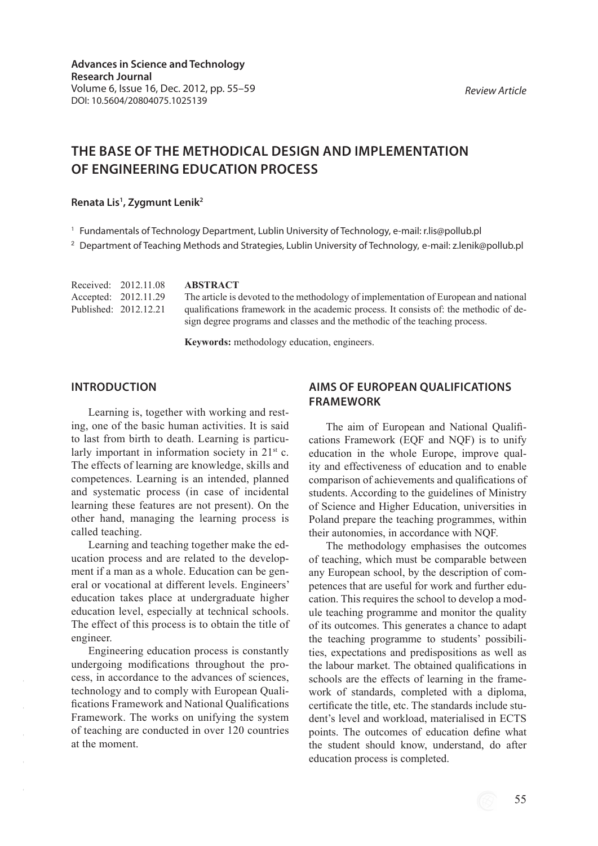# **THE BASE OF THE METHODICAL DESIGN AND IMPLEMENTATION OF ENGINEERING EDUCATION PROCESS**

#### **Renata Lis1 , Zygmunt Lenik2**

<sup>1</sup> Fundamentals of Technology Department, Lublin University of Technology, e-mail: r.lis@pollub.pl

<sup>2</sup> Department of Teaching Methods and Strategies, Lublin University of Technology, e-mail: z.lenik@pollub.pl

| Received: 2012.11.08  | <b>ABSTRACT</b>                                                                       |
|-----------------------|---------------------------------------------------------------------------------------|
| Accepted: 2012.11.29  | The article is devoted to the methodology of implementation of European and national  |
| Published: 2012.12.21 | qualifications framework in the academic process. It consists of: the methodic of de- |
|                       | sign degree programs and classes and the methodic of the teaching process.            |

**Keywords:** methodology education, engineers.

### **INTRODUCTION**

Learning is, together with working and resting, one of the basic human activities. It is said to last from birth to death. Learning is particularly important in information society in  $21<sup>st</sup>$  c. The effects of learning are knowledge, skills and competences. Learning is an intended, planned and systematic process (in case of incidental learning these features are not present). On the other hand, managing the learning process is called teaching.

Learning and teaching together make the education process and are related to the development if a man as a whole. Education can be general or vocational at different levels. Engineers' education takes place at undergraduate higher education level, especially at technical schools. The effect of this process is to obtain the title of engineer.

Engineering education process is constantly undergoing modifications throughout the process, in accordance to the advances of sciences, technology and to comply with European Qualifications Framework and National Qualifications Framework. The works on unifying the system of teaching are conducted in over 120 countries at the moment.

# **AIMS OF EUROPEAN QUALIFICATIONS FRAMEWORK**

The aim of European and National Qualifications Framework (EQF and NQF) is to unify education in the whole Europe, improve quality and effectiveness of education and to enable comparison of achievements and qualifications of students. According to the guidelines of Ministry of Science and Higher Education, universities in Poland prepare the teaching programmes, within their autonomies, in accordance with NQF.

The methodology emphasises the outcomes of teaching, which must be comparable between any European school, by the description of competences that are useful for work and further education. This requires the school to develop a module teaching programme and monitor the quality of its outcomes. This generates a chance to adapt the teaching programme to students' possibilities, expectations and predispositions as well as the labour market. The obtained qualifications in schools are the effects of learning in the framework of standards, completed with a diploma, certificate the title, etc. The standards include student's level and workload, materialised in ECTS points. The outcomes of education define what the student should know, understand, do after education process is completed.

*Review Article*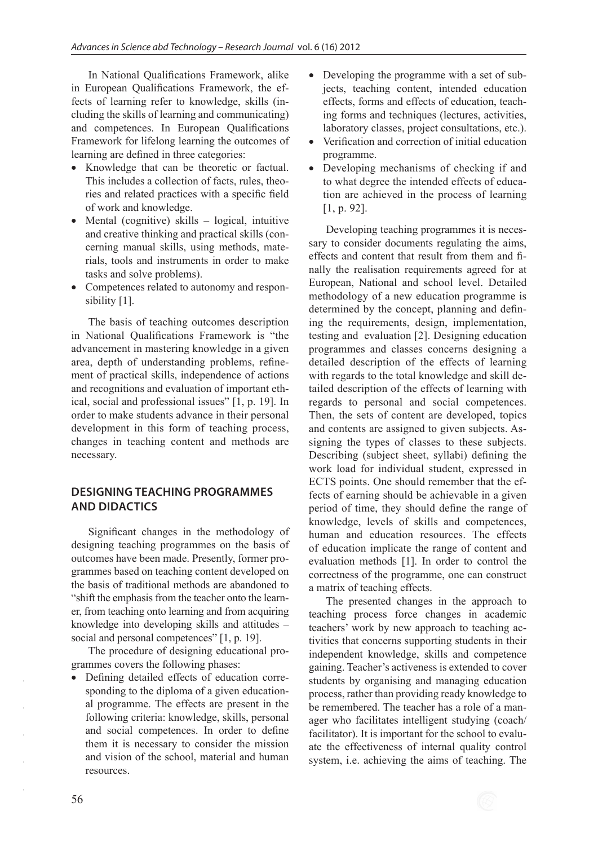In National Qualifications Framework, alike in European Qualifications Framework, the effects of learning refer to knowledge, skills (including the skills of learning and communicating) and competences. In European Qualifications Framework for lifelong learning the outcomes of learning are defined in three categories:

- Knowledge that can be theoretic or factual. This includes a collection of facts, rules, theories and related practices with a specific field of work and knowledge.
- Mental (cognitive) skills logical, intuitive and creative thinking and practical skills (concerning manual skills, using methods, materials, tools and instruments in order to make tasks and solve problems).
- Competences related to autonomy and responsibility [1].

The basis of teaching outcomes description in National Qualifications Framework is "the advancement in mastering knowledge in a given area, depth of understanding problems, refinement of practical skills, independence of actions and recognitions and evaluation of important ethical, social and professional issues" [1, p. 19]. In order to make students advance in their personal development in this form of teaching process, changes in teaching content and methods are necessary.

## **DESIGNING TEACHING PROGRAMMES AND DIDACTICS**

Significant changes in the methodology of designing teaching programmes on the basis of outcomes have been made. Presently, former programmes based on teaching content developed on the basis of traditional methods are abandoned to "shift the emphasis from the teacher onto the learner, from teaching onto learning and from acquiring knowledge into developing skills and attitudes – social and personal competences" [1, p. 19].

The procedure of designing educational programmes covers the following phases:

• Defining detailed effects of education corresponding to the diploma of a given educational programme. The effects are present in the following criteria: knowledge, skills, personal and social competences. In order to define them it is necessary to consider the mission and vision of the school, material and human resources.

- Developing the programme with a set of subjects, teaching content, intended education effects, forms and effects of education, teaching forms and techniques (lectures, activities, laboratory classes, project consultations, etc.).
- Verification and correction of initial education programme.
- Developing mechanisms of checking if and to what degree the intended effects of education are achieved in the process of learning [1, p. 92].

Developing teaching programmes it is necessary to consider documents regulating the aims, effects and content that result from them and finally the realisation requirements agreed for at European, National and school level. Detailed methodology of a new education programme is determined by the concept, planning and defining the requirements, design, implementation, testing and evaluation [2]. Designing education programmes and classes concerns designing a detailed description of the effects of learning with regards to the total knowledge and skill detailed description of the effects of learning with regards to personal and social competences. Then, the sets of content are developed, topics and contents are assigned to given subjects. Assigning the types of classes to these subjects. Describing (subject sheet, syllabi) defining the work load for individual student, expressed in ECTS points. One should remember that the effects of earning should be achievable in a given period of time, they should define the range of knowledge, levels of skills and competences, human and education resources. The effects of education implicate the range of content and evaluation methods [1]. In order to control the correctness of the programme, one can construct a matrix of teaching effects.

The presented changes in the approach to teaching process force changes in academic teachers' work by new approach to teaching activities that concerns supporting students in their independent knowledge, skills and competence gaining. Teacher's activeness is extended to cover students by organising and managing education process, rather than providing ready knowledge to be remembered. The teacher has a role of a manager who facilitates intelligent studying (coach/ facilitator). It is important for the school to evaluate the effectiveness of internal quality control system, i.e. achieving the aims of teaching. The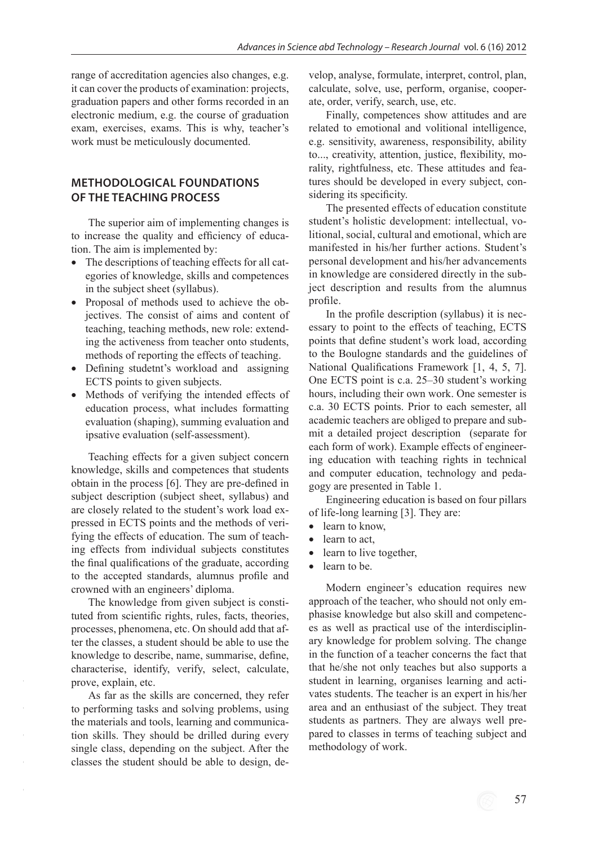range of accreditation agencies also changes, e.g. it can cover the products of examination: projects, graduation papers and other forms recorded in an electronic medium, e.g. the course of graduation exam, exercises, exams. This is why, teacher's work must be meticulously documented.

# **METHODOLOGICAL FOUNDATIONS OF THE TEACHING PROCESS**

The superior aim of implementing changes is to increase the quality and efficiency of education. The aim is implemented by:

- The descriptions of teaching effects for all categories of knowledge, skills and competences in the subject sheet (syllabus).
- Proposal of methods used to achieve the objectives. The consist of aims and content of teaching, teaching methods, new role: extending the activeness from teacher onto students, methods of reporting the effects of teaching.
- Defining studetnt's workload and assigning ECTS points to given subjects.
- Methods of verifying the intended effects of education process, what includes formatting evaluation (shaping), summing evaluation and ipsative evaluation (self-assessment).

Teaching effects for a given subject concern knowledge, skills and competences that students obtain in the process [6]. They are pre-defined in subject description (subject sheet, syllabus) and are closely related to the student's work load expressed in ECTS points and the methods of verifying the effects of education. The sum of teaching effects from individual subjects constitutes the final qualifications of the graduate, according to the accepted standards, alumnus profile and crowned with an engineers' diploma.

The knowledge from given subject is constituted from scientific rights, rules, facts, theories, processes, phenomena, etc. On should add that after the classes, a student should be able to use the knowledge to describe, name, summarise, define, characterise, identify, verify, select, calculate, prove, explain, etc.

As far as the skills are concerned, they refer to performing tasks and solving problems, using the materials and tools, learning and communication skills. They should be drilled during every single class, depending on the subject. After the classes the student should be able to design, develop, analyse, formulate, interpret, control, plan, calculate, solve, use, perform, organise, cooperate, order, verify, search, use, etc.

Finally, competences show attitudes and are related to emotional and volitional intelligence, e.g. sensitivity, awareness, responsibility, ability to..., creativity, attention, justice, flexibility, morality, rightfulness, etc. These attitudes and features should be developed in every subject, considering its specificity.

The presented effects of education constitute student's holistic development: intellectual, volitional, social, cultural and emotional, which are manifested in his/her further actions. Student's personal development and his/her advancements in knowledge are considered directly in the subject description and results from the alumnus profile.

In the profile description (syllabus) it is necessary to point to the effects of teaching, ECTS points that define student's work load, according to the Boulogne standards and the guidelines of National Qualifications Framework [1, 4, 5, 7]. One ECTS point is c.a. 25–30 student's working hours, including their own work. One semester is c.a. 30 ECTS points. Prior to each semester, all academic teachers are obliged to prepare and submit a detailed project description (separate for each form of work). Example effects of engineering education with teaching rights in technical and computer education, technology and pedagogy are presented in Table 1.

Engineering education is based on four pillars of life-long learning [3]. They are:

- learn to know.
- learn to act,
- learn to live together,
- learn to be.

Modern engineer's education requires new approach of the teacher, who should not only emphasise knowledge but also skill and competences as well as practical use of the interdisciplinary knowledge for problem solving. The change in the function of a teacher concerns the fact that that he/she not only teaches but also supports a student in learning, organises learning and activates students. The teacher is an expert in his/her area and an enthusiast of the subject. They treat students as partners. They are always well prepared to classes in terms of teaching subject and methodology of work.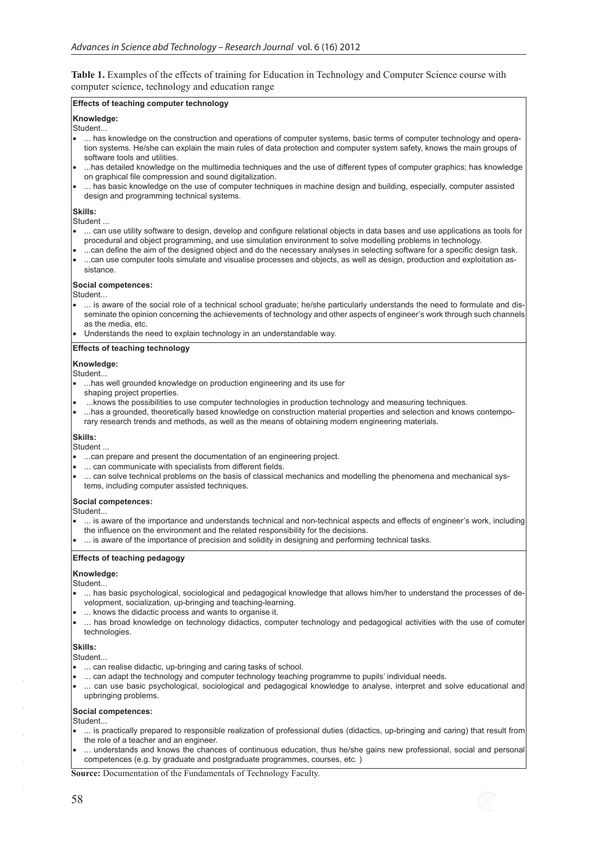**Table 1.** Examples of the effects of training for Education in Technology and Computer Science course with computer science, technology and education range

#### **Effects of teaching computer technology**

#### **Knowledge:**

#### Student...

- ... has knowledge on the construction and operations of computer systems, basic terms of computer technology and operation systems. He/she can explain the main rules of data protection and computer system safety, knows the main groups of software tools and utilities.
- ...has detailed knowledge on the multimedia techniques and the use of different types of computer graphics; has knowledge on graphical file compression and sound digitalization.
- ... has basic knowledge on the use of computer techniques in machine design and building, especially, computer assisted design and programming technical systems.

#### **Skills:**

#### Student ...

- ... can use utility software to design, develop and configure relational objects in data bases and use applications as tools for procedural and object programming, and use simulation environment to solve modelling problems in technology.
- ...can define the aim of the designed object and do the necessary analyses in selecting software for a specific design task. ...can use computer tools simulate and visualise processes and objects, as well as design, production and exploitation as-
- sistance.

#### **Social competences:**

#### $\mathsf{l}_{\mathsf{S}}$ tudent...

... is aware of the social role of a technical school graduate; he/she particularly understands the need to formulate and disseminate the opinion concerning the achievements of technology and other aspects of engineer's work through such channels as the media, etc.

Understands the need to explain technology in an understandable way.

#### **Effects of teaching technology**

#### **Knowledge:**

#### Student...

- ...has well grounded knowledge on production engineering and its use for
- shaping project properties.
- ...knows the possibilities to use computer technologies in production technology and measuring techniques. ...has a grounded, theoretically based knowledge on construction material properties and selection and knows contempo-
- rary research trends and methods, as well as the means of obtaining modern engineering materials.

#### **Skills:**

Student ...

- ...can prepare and present the documentation of an engineering project.
- ... can communicate with specialists from different fields.
- ... can solve technical problems on the basis of classical mechanics and modelling the phenomena and mechanical systems, including computer assisted techniques.

#### **Social competences:**

Student...

- ... is aware of the importance and understands technical and non-technical aspects and effects of engineer's work, including
- the influence on the environment and the related responsibility for the decisions.
- ... is aware of the importance of precision and solidity in designing and performing technical tasks.

#### **Effects of teaching pedagogy**

#### **Knowledge:**

Student...

- ... has basic psychological, sociological and pedagogical knowledge that allows him/her to understand the processes of development, socialization, up-bringing and teaching-learning.
- ... knows the didactic process and wants to organise it.
- ... has broad knowledge on technology didactics, computer technology and pedagogical activities with the use of comuter technologies.

#### **Skills:**

Student...

- ... can realise didactic, up-bringing and caring tasks of school.
- ... can adapt the technology and computer technology teaching programme to pupils' individual needs.
- ... can use basic psychological, sociological and pedagogical knowledge to analyse, interpret and solve educational and upbringing problems.

#### **Social competences:**

Student...

- ... is practically prepared to responsible realization of professional duties (didactics, up-bringing and caring) that result from the role of a teacher and an engineer.
- ... understands and knows the chances of continuous education, thus he/she gains new professional, social and personal competences (e.g. by graduate and postgraduate programmes, courses, etc. )

**Source:** Documentation of the Fundamentals of Technology Faculty.